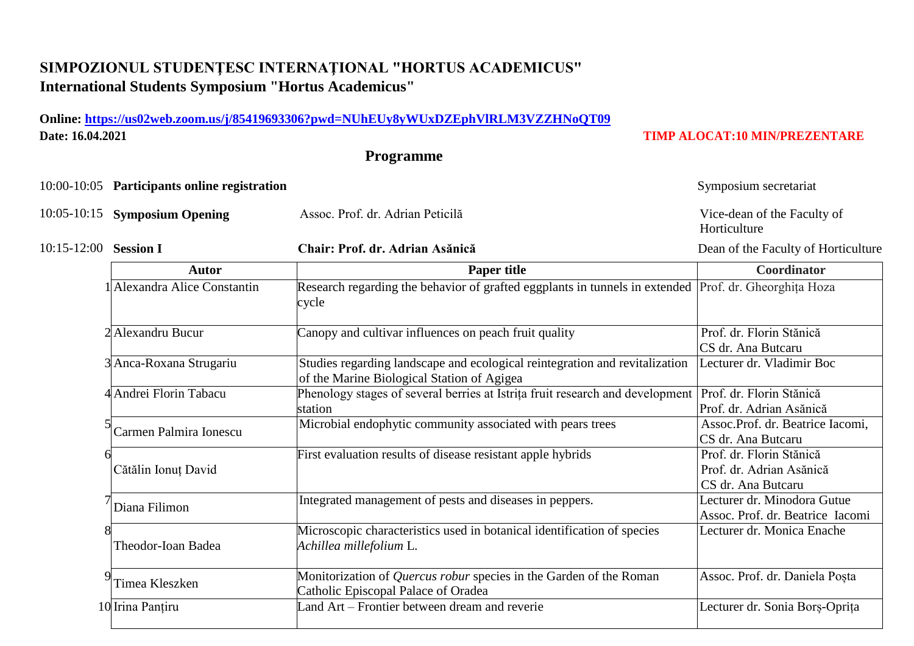## **SIMPOZIONUL STUDENŢESC INTERNAŢIONAL "HORTUS ACADEMICUS" International Students Symposium "Hortus Academicus"**

### **Online:<https://us02web.zoom.us/j/85419693306?pwd=NUhEUy8yWUxDZEphVlRLM3VZZHNoQT09> Date: 16.04.2021 TIMP ALOCAT:10 MIN/PREZENTARE**

- 10:05-10:15 **Symposium Opening** Assoc. Prof. dr. Adrian Peticilă Vice-dean of the Faculty of
	-

5

6

7

8

9

#### 10:15-12:00 **Session I Chair: Prof. dr. Adrian Asănică** Dean of the Faculty of Horticulture

# **Programme** 10:00-10:05 **Participants online registration** Symposium secretariat

**Autor Paper title Coordinator** 1 Alexandra Alice Constantin Research regarding the behavior of grafted eggplants in tunnels in extended Prof. dr. Gheorghița Hoza cycle 2 Alexandru Bucur Canopy and cultivar influences on peach fruit quality Prof. dr. Florin Stănică CS dr. Ana Butcaru 3 Anca-Roxana Strugariu Studies regarding landscape and ecological reintegration and revitalization of the Marine Biological Station of Agigea Lecturer dr. Vladimir Boc 4 Andrei Florin Tabacu Phenology stages of several berries at Istrița fruit research and development station Prof. dr. Florin Stănică Prof. dr. Adrian Asănică Carmen Palmira Ionescu Microbial endophytic community associated with pears trees Assoc.Prof. dr. Beatrice Iacomi, CS dr. Ana Butcaru Cătălin Ionuț David First evaluation results of disease resistant apple hybrids Prof. dr. Florin Stănică Prof. dr. Adrian Asănică CS dr. Ana Butcaru Diana Filimon Integrated management of pests and diseases in peppers. Lecturer dr. Minodora Gutue Assoc. Prof. dr. Beatrice Iacomi Theodor-Ioan Badea Microscopic characteristics used in botanical identification of species *Achillea millefolium* L. Lecturer dr. Monica Enache Timea Kleszken Monitorization of *Quercus robur* species in the Garden of the Roman Catholic Episcopal Palace of Oradea Assoc. Prof. dr. Daniela Poșta 10 Irina Panțiru Land Art – Frontier between dream and reverie Lecturer dr. Sonia Borș-Oprița

Horticulture